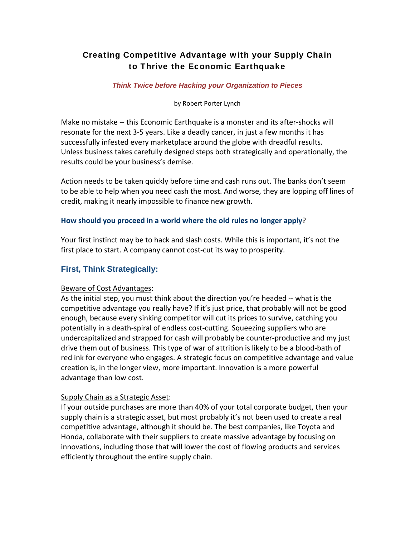# Creating Competitive Advantage with your Supply Chain to Thrive the Economic Earthquake

## *Think Twice before Hacking your Organization to Pieces*

by Robert Porter Lynch

Make no mistake ‐‐ this Economic Earthquake is a monster and its after‐shocks will resonate for the next 3‐5 years. Like a deadly cancer, in just a few months it has successfully infested every marketplace around the globe with dreadful results. Unless business takes carefully designed steps both strategically and operationally, the results could be your business's demise.

Action needs to be taken quickly before time and cash runs out. The banks don't seem to be able to help when you need cash the most. And worse, they are lopping off lines of credit, making it nearly impossible to finance new growth.

## **How should you proceed in a world where the old rules no longer apply**?

Your first instinct may be to hack and slash costs. While this is important, it's not the first place to start. A company cannot cost-cut its way to prosperity.

## **First, Think Strategically:**

## Beware of Cost Advantages:

As the initial step, you must think about the direction you're headed ‐‐ what is the competitive advantage you really have? If it's just price, that probably will not be good enough, because every sinking competitor will cut its prices to survive, catching you potentially in a death-spiral of endless cost-cutting. Squeezing suppliers who are undercapitalized and strapped for cash will probably be counter‐productive and my just drive them out of business. This type of war of attrition is likely to be a blood‐bath of red ink for everyone who engages. A strategic focus on competitive advantage and value creation is, in the longer view, more important. Innovation is a more powerful advantage than low cost.

## Supply Chain as a Strategic Asset:

If your outside purchases are more than 40% of your total corporate budget, then your supply chain is a strategic asset, but most probably it's not been used to create a real competitive advantage, although it should be. The best companies, like Toyota and Honda, collaborate with their suppliers to create massive advantage by focusing on innovations, including those that will lower the cost of flowing products and services efficiently throughout the entire supply chain.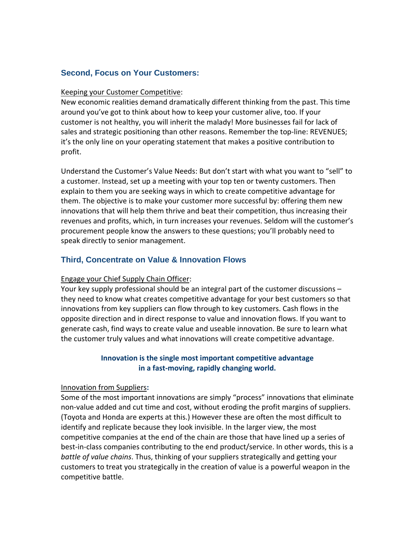# **Second, Focus on Your Customers:**

#### Keeping your Customer Competitive:

New economic realities demand dramatically different thinking from the past. This time around you've got to think about how to keep your customer alive, too. If your customer is not healthy, you will inherit the malady! More businesses fail for lack of sales and strategic positioning than other reasons. Remember the top‐line: REVENUES; it's the only line on your operating statement that makes a positive contribution to profit.

Understand the Customer's Value Needs: But don't start with what you want to "sell" to a customer. Instead, set up a meeting with your top ten or twenty customers. Then explain to them you are seeking ways in which to create competitive advantage for them. The objective is to make your customer more successful by: offering them new innovations that will help them thrive and beat their competition, thus increasing their revenues and profits, which, in turn increases your revenues. Seldom will the customer's procurement people know the answers to these questions; you'll probably need to speak directly to senior management.

# **Third, Concentrate on Value & Innovation Flows**

## Engage your Chief Supply Chain Officer:

Your key supply professional should be an integral part of the customer discussions – they need to know what creates competitive advantage for your best customers so that innovations from key suppliers can flow through to key customers. Cash flows in the opposite direction and in direct response to value and innovation flows. If you want to generate cash, find ways to create value and useable innovation. Be sure to learn what the customer truly values and what innovations will create competitive advantage.

## **Innovation is the single most important competitive advantage in a fast‐moving, rapidly changing world.**

#### Innovation from Suppliers**:**

Some of the most important innovations are simply "process" innovations that eliminate non‐value added and cut time and cost, without eroding the profit margins of suppliers. (Toyota and Honda are experts at this.) However these are often the most difficult to identify and replicate because they look invisible. In the larger view, the most competitive companies at the end of the chain are those that have lined up a series of best-in-class companies contributing to the end product/service. In other words, this is a *battle of value chains*. Thus, thinking of your suppliers strategically and getting your customers to treat you strategically in the creation of value is a powerful weapon in the competitive battle.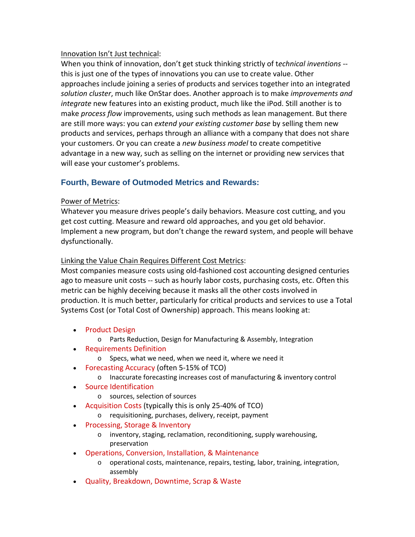# Innovation Isn't Just technical:

When you think of innovation, don't get stuck thinking strictly of t*echnical inventions* ‐‐ this is just one of the types of innovations you can use to create value. Other approaches include joining a series of products and services together into an integrated *solution cluster*, much like OnStar does. Another approach is to make *improvements and integrate* new features into an existing product, much like the iPod. Still another is to make *process flow* improvements, using such methods as lean management. But there are still more ways: you can *extend your existing customer base* by selling them new products and services, perhaps through an alliance with a company that does not share your customers. Or you can create a *new business model* to create competitive advantage in a new way, such as selling on the internet or providing new services that will ease your customer's problems.

# **Fourth, Beware of Outmoded Metrics and Rewards:**

# Power of Metrics:

Whatever you measure drives people's daily behaviors. Measure cost cutting, and you get cost cutting. Measure and reward old approaches, and you get old behavior. Implement a new program, but don't change the reward system, and people will behave dysfunctionally.

# Linking the Value Chain Requires Different Cost Metrics:

Most companies measure costs using old‐fashioned cost accounting designed centuries ago to measure unit costs ‐‐ such as hourly labor costs, purchasing costs, etc. Often this metric can be highly deceiving because it masks all the other costs involved in production. It is much better, particularly for critical products and services to use a Total Systems Cost (or Total Cost of Ownership) approach. This means looking at:

- Product Design
	- o Parts Reduction, Design for Manufacturing & Assembly, Integration
- Requirements Definition
	- o Specs, what we need, when we need it, where we need it
- Forecasting Accuracy (often 5-15% of TCO)
	- o Inaccurate forecasting increases cost of manufacturing & inventory control
- Source Identification
	- o sources, selection of sources
- Acquisition Costs (typically this is only 25-40% of TCO)
	- o requisitioning, purchases, delivery, receipt, payment
- Processing, Storage & Inventory
	- o inventory, staging, reclamation, reconditioning, supply warehousing, preservation
- Operations, Conversion, Installation, & Maintenance
	- o operational costs, maintenance, repairs, testing, labor, training, integration, assembly
- Quality, Breakdown, Downtime, Scrap & Waste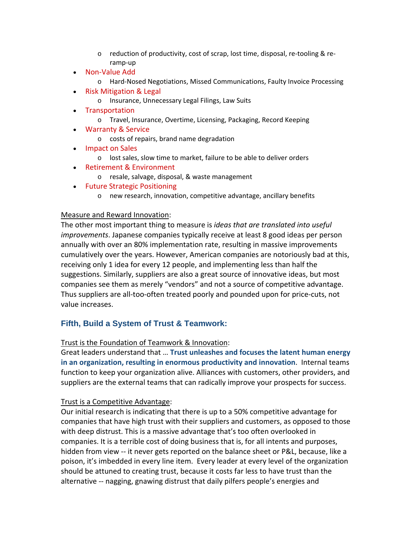- o reduction of productivity, cost of scrap, lost time, disposal, re‐tooling & re‐ ramp‐up
- Non‐Value Add
	- o Hard‐Nosed Negotiations, Missed Communications, Faulty Invoice Processing
- Risk Mitigation & Legal
	- o Insurance, Unnecessary Legal Filings, Law Suits
- Transportation
	- o Travel, Insurance, Overtime, Licensing, Packaging, Record Keeping
- Warranty & Service
	- o costs of repairs, brand name degradation
- Impact on Sales
	- o lost sales, slow time to market, failure to be able to deliver orders
- Retirement & Environment
	- o resale, salvage, disposal, & waste management
- Future Strategic Positioning
	- o new research, innovation, competitive advantage, ancillary benefits

## Measure and Reward Innovation:

The other most important thing to measure is *ideas that are translated into useful improvements*. Japanese companies typically receive at least 8 good ideas per person annually with over an 80% implementation rate, resulting in massive improvements cumulatively over the years. However, American companies are notoriously bad at this, receiving only 1 idea for every 12 people, and implementing less than half the suggestions. Similarly, suppliers are also a great source of innovative ideas, but most companies see them as merely "vendors" and not a source of competitive advantage. Thus suppliers are all‐too‐often treated poorly and pounded upon for price‐cuts, not value increases.

# **Fifth, Build a System of Trust & Teamwork:**

## Trust is the Foundation of Teamwork & Innovation:

Great leaders understand that … **Trust unleashes and focuses the latent human energy in an organization, resulting in enormous productivity and innovation**. Internal teams function to keep your organization alive. Alliances with customers, other providers, and suppliers are the external teams that can radically improve your prospects for success.

# Trust is a Competitive Advantage:

Our initial research is indicating that there is up to a 50% competitive advantage for companies that have high trust with their suppliers and customers, as opposed to those with deep distrust. This is a massive advantage that's too often overlooked in companies. It is a terrible cost of doing business that is, for all intents and purposes, hidden from view -- it never gets reported on the balance sheet or P&L, because, like a poison, it's imbedded in every line item. Every leader at every level of the organization should be attuned to creating trust, because it costs far less to have trust than the alternative ‐‐ nagging, gnawing distrust that daily pilfers people's energies and